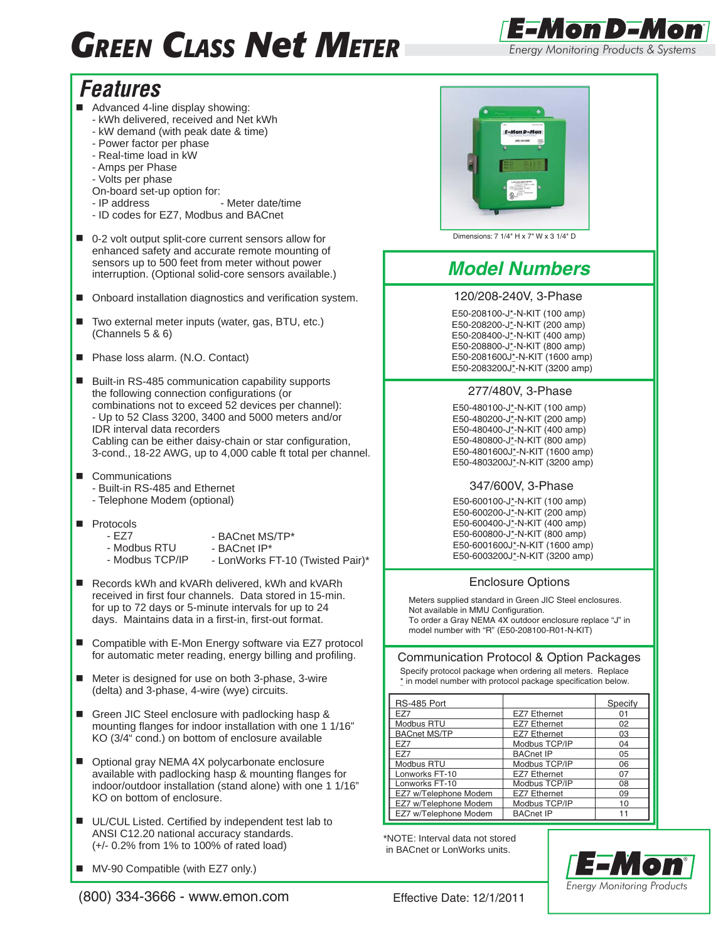# *GREEN CLASS Net METER*



# *Features*

- Advanced 4-line display showing:
	- kWh delivered, received and Net kWh
	- kW demand (with peak date & time)
	- Power factor per phase
	- Real-time load in kW
	- Amps per Phase
	- Volts per phase
	- On-board set-up option for:
	- IP address Meter date/time
	- ID codes for EZ7, Modbus and BACnet
- 0-2 volt output split-core current sensors allow for enhanced safety and accurate remote mounting of sensors up to 500 feet from meter without power interruption. (Optional solid-core sensors available.)
- Onboard installation diagnostics and verification system.
- Two external meter inputs (water, gas, BTU, etc.) (Channels 5 & 6)
- Phase loss alarm. (N.O. Contact)
- Built-in RS-485 communication capability supports the following connection configurations (or combinations not to exceed 52 devices per channel): - Up to 52 Class 3200, 3400 and 5000 meters and/or IDR interval data recorders Cabling can be either daisy-chain or star configuration, 3-cond., 18-22 AWG, up to 4,000 cable ft total per channel.
- Communications
	- Built-in RS-485 and Ethernet - Telephone Modem (optional)
- **Protocols** 
	- EZ7
- BACnet MS/TP\*
- Modbus RTU
- Modbus TCP/IP - BACnet IP\* - LonWorks FT-10 (Twisted Pair)\*
- Records kWh and kVARh delivered, kWh and kVARh received in first four channels. Data stored in 15-min. for up to 72 days or 5-minute intervals for up to 24 days. Maintains data in a first-in, first-out format.
- Compatible with E-Mon Energy software via EZ7 protocol for automatic meter reading, energy billing and profiling.
- Meter is designed for use on both 3-phase, 3-wire (delta) and 3-phase, 4-wire (wye) circuits.
- Green JIC Steel enclosure with padlocking hasp & mounting flanges for indoor installation with one 1 1/16" KO (3/4" cond.) on bottom of enclosure available
- Optional gray NEMA 4X polycarbonate enclosure available with padlocking hasp & mounting flanges for indoor/outdoor installation (stand alone) with one 1 1/16" KO on bottom of enclosure.
- UL/CUL Listed. Certified by independent test lab to ANSI C12.20 national accuracy standards. (+/- 0.2% from 1% to 100% of rated load)
- MV-90 Compatible (with EZ7 only.)



Dimensions: 7 1/4" H x 7" W x 3 1/4" D

## *Model Numbers*

#### 120/208-240V, 3-Phase

E50-208100-J\*-N-KIT (100 amp) E50-208200-J\*-N-KIT (200 amp) E50-208400-J\*-N-KIT (400 amp) E50-208800-J\*-N-KIT (800 amp) E50-2081600J\*-N-KIT (1600 amp) E50-2083200J\*-N-KIT (3200 amp)

#### 277/480V, 3-Phase

E50-480100-J\*-N-KIT (100 amp) E50-480200-J\*-N-KIT (200 amp) E50-480400-J\*-N-KIT (400 amp) E50-480800-J\*-N-KIT (800 amp) E50-4801600J\*-N-KIT (1600 amp) E50-4803200J\*-N-KIT (3200 amp)

#### 347/600V, 3-Phase

E50-600100-J\*-N-KIT (100 amp) E50-600200-J<sup>\*</sup>-N-KIT (200 amp) E50-600400-J\*-N-KIT (400 amp) E50-600800-J\*-N-KIT (800 amp) E50-6001600J\*-N-KIT (1600 amp) E50-6003200J\*-N-KIT (3200 amp)

#### Enclosure Options

Meters supplied standard in Green JIC Steel enclosures. Not available in MMU Configuration. To order a Gray NEMA 4X outdoor enclosure replace "J" in model number with "R" (E50-208100-R01-N-KIT)

#### Communication Protocol & Option Packages

 Specify protocol package when ordering all meters. Replace  $*$  in model number with protocol package specification below.

| RS-485 Port           |                     | Specify |
|-----------------------|---------------------|---------|
| F77                   | <b>EZ7 Ethernet</b> | 01      |
| Modbus RTU            | <b>EZ7 Ethernet</b> | 02      |
| <b>BACnet MS/TP</b>   | <b>EZ7 Ethernet</b> | 03      |
| F77                   | Modbus TCP/IP       | 04      |
| <b>F77</b>            | <b>BACnet IP</b>    | 05      |
| <b>Modbus RTU</b>     | Modbus TCP/IP       | 06      |
| Lonworks FT-10        | <b>EZ7 Ethernet</b> | 07      |
| Lonworks FT-10        | Modbus TCP/IP       | 08      |
| EZ7 w/Telephone Modem | <b>EZ7 Ethernet</b> | 09      |
| EZ7 w/Telephone Modem | Modbus TCP/IP       | 10      |
| EZ7 w/Telephone Modem | <b>BACnet IP</b>    | 11      |

\*NOTE: Interval data not stored in BACnet or LonWorks units.



j